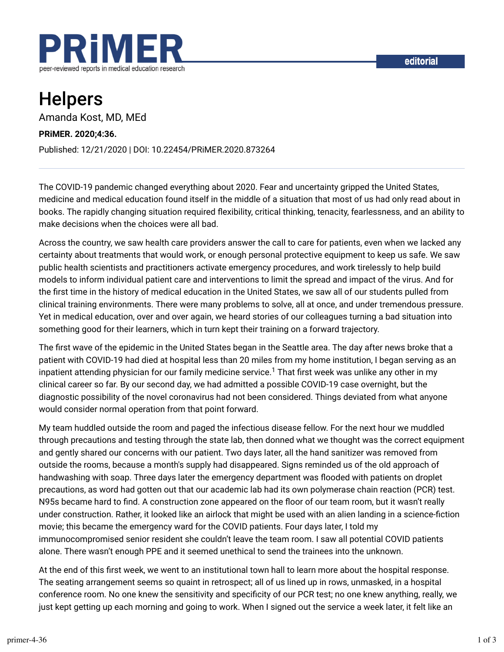

# Helpers

Amanda Kost, MD, MEd

#### **PRiMER. 2020;4:36.**

Published: 12/21/2020 | DOI: 10.22454/PRiMER.2020.873264

The COVID-19 pandemic changed everything about 2020. Fear and uncertainty gripped the United States, medicine and medical education found itself in the middle of a situation that most of us had only read about in books. The rapidly changing situation required flexibility, critical thinking, tenacity, fearlessness, and an ability to make decisions when the choices were all bad.

Across the country, we saw health care providers answer the call to care for patients, even when we lacked any certainty about treatments that would work, or enough personal protective equipment to keep us safe. We saw public health scientists and practitioners activate emergency procedures, and work tirelessly to help build models to inform individual patient care and interventions to limit the spread and impact of the virus. And for the first time in the history of medical education in the United States, we saw all of our students pulled from clinical training environments. There were many problems to solve, all at once, and under tremendous pressure. Yet in medical education, over and over again, we heard stories of our colleagues turning a bad situation into something good for their learners, which in turn kept their training on a forward trajectory.

The first wave of the epidemic in the United States began in the Seattle area. The day after news broke that a patient with COVID-19 had died at hospital less than 20 miles from my home institution, I began serving as an inpatient attending physician for our family medicine service. $^1$  That first week was unlike any other in my clinical career so far. By our second day, we had admitted a possible COVID-19 case overnight, but the diagnostic possibility of the novel coronavirus had not been considered. Things deviated from what anyone would consider normal operation from that point forward.

My team huddled outside the room and paged the infectious disease fellow. For the next hour we muddled through precautions and testing through the state lab, then donned what we thought was the correct equipment and gently shared our concerns with our patient. Two days later, all the hand sanitizer was removed from outside the rooms, because a month's supply had disappeared. Signs reminded us of the old approach of handwashing with soap. Three days later the emergency department was flooded with patients on droplet precautions, as word had gotten out that our academic lab had its own polymerase chain reaction (PCR) test. N95s became hard to find. A construction zone appeared on the floor of our team room, but it wasn't really under construction. Rather, it looked like an airlock that might be used with an alien landing in a science-fiction movie; this became the emergency ward for the COVID patients. Four days later, I told my immunocompromised senior resident she couldn't leave the team room. I saw all potential COVID patients alone. There wasn't enough PPE and it seemed unethical to send the trainees into the unknown.

At the end of this first week, we went to an institutional town hall to learn more about the hospital response. The seating arrangement seems so quaint in retrospect; all of us lined up in rows, unmasked, in a hospital conference room. No one knew the sensitivity and specificity of our PCR test; no one knew anything, really, we just kept getting up each morning and going to work. When I signed out the service a week later, it felt like an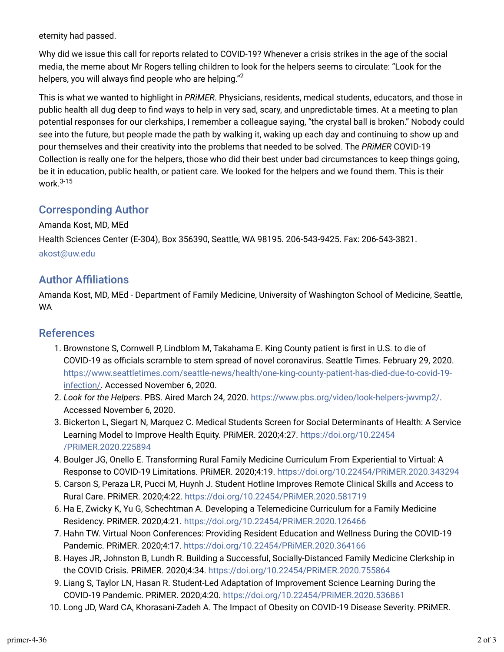eternity had passed.

Why did we issue this call for reports related to COVID-19? Whenever a crisis strikes in the age of the social media, the meme about Mr Rogers telling children to look for the helpers seems to circulate: "Look for the helpers, you will always find people who are helping." $^{\rm 2}$ 

This is what we wanted to highlight in *PRiMER*. Physicians, residents, medical students, educators, and those in public health all dug deep to find ways to help in very sad, scary, and unpredictable times. At a meeting to plan potential responses for our clerkships, I remember a colleague saying, "the crystal ball is broken." Nobody could see into the future, but people made the path by walking it, waking up each day and continuing to show up and pour themselves and their creativity into the problems that needed to be solved. The *PRiMER* COVID-19 Collection is really one for the helpers, those who did their best under bad circumstances to keep things going, be it in education, public health, or patient care. We looked for the helpers and we found them. This is their work. 3-15

## Corresponding Author

Amanda Kost, MD, MEd Health Sciences Center (E-304), Box 356390, Seattle, WA 98195. 206-543-9425. Fax: 206-543-3821. akost@uw.edu

### **Author Affiliations**

Amanda Kost, MD, MEd - Department of Family Medicine, University of Washington School of Medicine, Seattle, WA

#### References

- 1. Brownstone S, Cornwell P, Lindblom M, Takahama E. King County patient is first in U.S. to die of COVID-19 as officials scramble to stem spread of novel coronavirus. Seattle Times. February 29, 2020. https://www.seattletimes.com/seattle-news/health/one-king-county-patient-has-died-due-to-covid-19 infection/. Accessed November 6, 2020.
- 2. *Look for the Helpers*. PBS. Aired March 24, 2020. https://www.pbs.org/video/look-helpers-jwvmp2/. Accessed November 6, 2020.
- 3. Bickerton L, Siegart N, Marquez C. Medical Students Screen for Social Determinants of Health: A Service Learning Model to Improve Health Equity. PRiMER. 2020;4:27. https://doi.org/10.22454 /PRiMER.2020.225894
- 4. Boulger JG, Onello E. Transforming Rural Family Medicine Curriculum From Experiential to Virtual: A Response to COVID-19 Limitations. PRiMER. 2020;4:19. https://doi.org/10.22454/PRiMER.2020.343294
- 5. Carson S, Peraza LR, Pucci M, Huynh J. Student Hotline Improves Remote Clinical Skills and Access to Rural Care. PRiMER. 2020;4:22. https://doi.org/10.22454/PRiMER.2020.581719
- 6. Ha E, Zwicky K, Yu G, Schechtman A. Developing a Telemedicine Curriculum for a Family Medicine Residency. PRiMER. 2020;4:21. https://doi.org/10.22454/PRiMER.2020.126466
- 7. Hahn TW. Virtual Noon Conferences: Providing Resident Education and Wellness During the COVID-19 Pandemic. PRiMER. 2020;4:17. https://doi.org/10.22454/PRiMER.2020.364166
- 8. Hayes JR, Johnston B, Lundh R. Building a Successful, Socially-Distanced Family Medicine Clerkship in the COVID Crisis. PRiMER. 2020;4:34. https://doi.org/10.22454/PRiMER.2020.755864
- 9. Liang S, Taylor LN, Hasan R. Student-Led Adaptation of Improvement Science Learning During the COVID-19 Pandemic. PRiMER. 2020;4:20. https://doi.org/10.22454/PRiMER.2020.536861
- 10. Long JD, Ward CA, Khorasani-Zadeh A. The Impact of Obesity on COVID-19 Disease Severity. PRiMER.